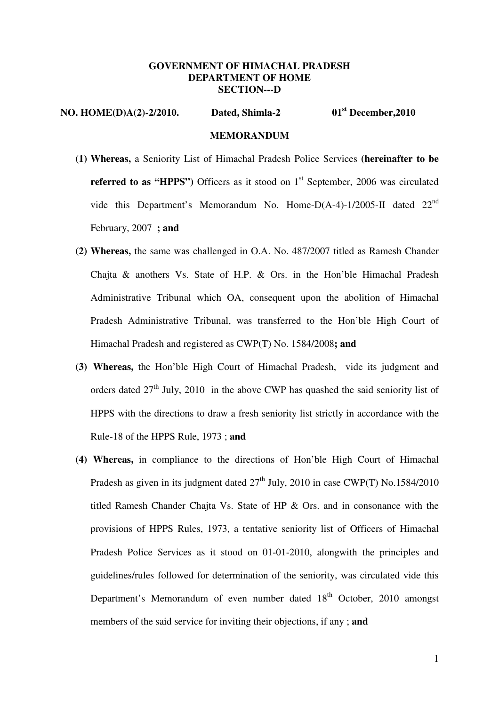## **GOVERNMENT OF HIMACHAL PRADESH DEPARTMENT OF HOME SECTION---D**

## **NO. HOME(D)A(2)-2/2010. Dated, Shimla-2 01st December,2010 MEMORANDUM**

- **(1) Whereas,** a Seniority List of Himachal Pradesh Police Services **(hereinafter to be referred to as "HPPS")** Officers as it stood on 1<sup>st</sup> September, 2006 was circulated vide this Department's Memorandum No. Home-D(A-4)-1/2005-II dated 22nd February, 2007 **; and**
- **(2) Whereas,** the same was challenged in O.A. No. 487/2007 titled as Ramesh Chander Chajta & anothers Vs. State of H.P. & Ors. in the Hon'ble Himachal Pradesh Administrative Tribunal which OA, consequent upon the abolition of Himachal Pradesh Administrative Tribunal, was transferred to the Hon'ble High Court of Himachal Pradesh and registered as CWP(T) No. 1584/2008**; and**
- **(3) Whereas,** the Hon'ble High Court of Himachal Pradesh, vide its judgment and orders dated  $27<sup>th</sup>$  July, 2010 in the above CWP has quashed the said seniority list of HPPS with the directions to draw a fresh seniority list strictly in accordance with the Rule-18 of the HPPS Rule, 1973 ; **and**
- **(4) Whereas,** in compliance to the directions of Hon'ble High Court of Himachal Pradesh as given in its judgment dated  $27<sup>th</sup>$  July, 2010 in case CWP(T) No.1584/2010 titled Ramesh Chander Chajta Vs. State of HP & Ors. and in consonance with the provisions of HPPS Rules, 1973, a tentative seniority list of Officers of Himachal Pradesh Police Services as it stood on 01-01-2010, alongwith the principles and guidelines/rules followed for determination of the seniority, was circulated vide this Department's Memorandum of even number dated 18<sup>th</sup> October, 2010 amongst members of the said service for inviting their objections, if any ; **and**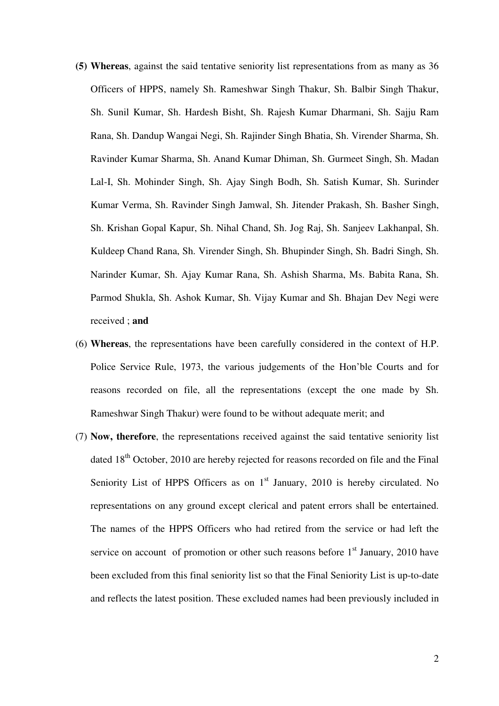- **(5) Whereas**, against the said tentative seniority list representations from as many as 36 Officers of HPPS, namely Sh. Rameshwar Singh Thakur, Sh. Balbir Singh Thakur, Sh. Sunil Kumar, Sh. Hardesh Bisht, Sh. Rajesh Kumar Dharmani, Sh. Sajju Ram Rana, Sh. Dandup Wangai Negi, Sh. Rajinder Singh Bhatia, Sh. Virender Sharma, Sh. Ravinder Kumar Sharma, Sh. Anand Kumar Dhiman, Sh. Gurmeet Singh, Sh. Madan Lal-I, Sh. Mohinder Singh, Sh. Ajay Singh Bodh, Sh. Satish Kumar, Sh. Surinder Kumar Verma, Sh. Ravinder Singh Jamwal, Sh. Jitender Prakash, Sh. Basher Singh, Sh. Krishan Gopal Kapur, Sh. Nihal Chand, Sh. Jog Raj, Sh. Sanjeev Lakhanpal, Sh. Kuldeep Chand Rana, Sh. Virender Singh, Sh. Bhupinder Singh, Sh. Badri Singh, Sh. Narinder Kumar, Sh. Ajay Kumar Rana, Sh. Ashish Sharma, Ms. Babita Rana, Sh. Parmod Shukla, Sh. Ashok Kumar, Sh. Vijay Kumar and Sh. Bhajan Dev Negi were received ; **and**
- (6) **Whereas**, the representations have been carefully considered in the context of H.P. Police Service Rule, 1973, the various judgements of the Hon'ble Courts and for reasons recorded on file, all the representations (except the one made by Sh. Rameshwar Singh Thakur) were found to be without adequate merit; and
- (7) **Now, therefore**, the representations received against the said tentative seniority list dated 18<sup>th</sup> October, 2010 are hereby rejected for reasons recorded on file and the Final Seniority List of HPPS Officers as on  $1<sup>st</sup>$  January, 2010 is hereby circulated. No representations on any ground except clerical and patent errors shall be entertained. The names of the HPPS Officers who had retired from the service or had left the service on account of promotion or other such reasons before  $1<sup>st</sup>$  January, 2010 have been excluded from this final seniority list so that the Final Seniority List is up-to-date and reflects the latest position. These excluded names had been previously included in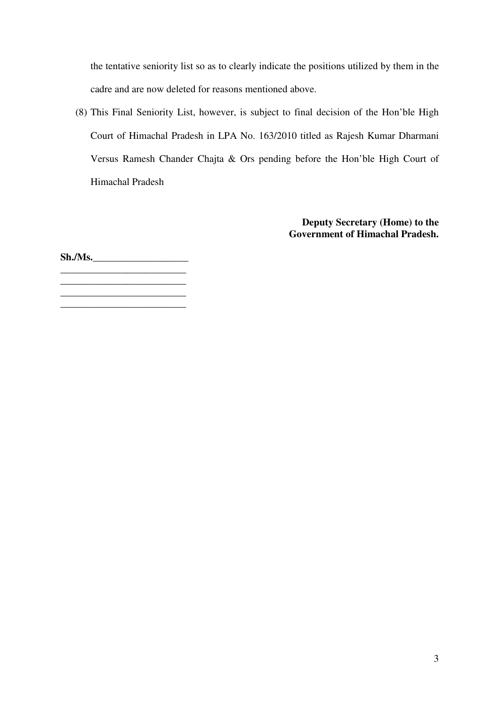the tentative seniority list so as to clearly indicate the positions utilized by them in the cadre and are now deleted for reasons mentioned above.

(8) This Final Seniority List, however, is subject to final decision of the Hon'ble High Court of Himachal Pradesh in LPA No. 163/2010 titled as Rajesh Kumar Dharmani Versus Ramesh Chander Chajta & Ors pending before the Hon'ble High Court of Himachal Pradesh

> **Deputy Secretary (Home) to the Government of Himachal Pradesh.**

**Sh./Ms.\_\_\_\_\_\_\_\_\_\_\_\_\_\_\_\_\_\_\_** 

**\_\_\_\_\_\_\_\_\_\_\_\_\_\_\_\_\_\_\_\_\_\_\_\_\_** 

**\_\_\_\_\_\_\_\_\_\_\_\_\_\_\_\_\_\_\_\_\_\_\_\_\_ \_\_\_\_\_\_\_\_\_\_\_\_\_\_\_\_\_\_\_\_\_\_\_\_\_** 

3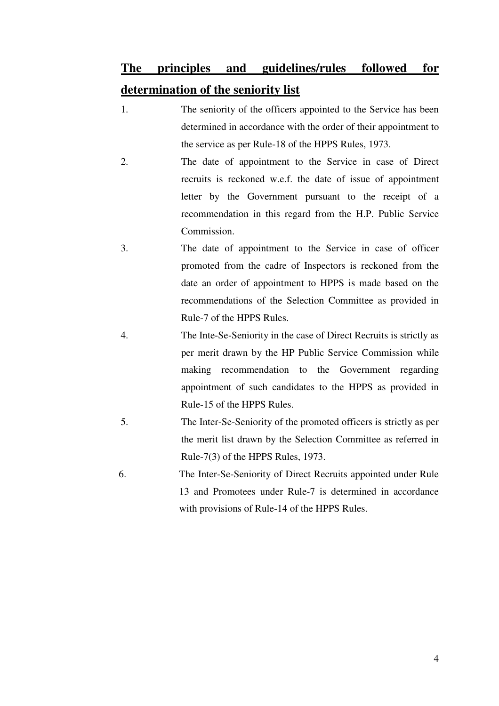## **The principles and guidelines/rules followed for determination of the seniority list**

- 1. The seniority of the officers appointed to the Service has been determined in accordance with the order of their appointment to the service as per Rule-18 of the HPPS Rules, 1973.
- 2. The date of appointment to the Service in case of Direct recruits is reckoned w.e.f. the date of issue of appointment letter by the Government pursuant to the receipt of a recommendation in this regard from the H.P. Public Service Commission.
- 3. The date of appointment to the Service in case of officer promoted from the cadre of Inspectors is reckoned from the date an order of appointment to HPPS is made based on the recommendations of the Selection Committee as provided in Rule-7 of the HPPS Rules.
- 4. The Inte-Se-Seniority in the case of Direct Recruits is strictly as per merit drawn by the HP Public Service Commission while making recommendation to the Government regarding appointment of such candidates to the HPPS as provided in Rule-15 of the HPPS Rules.
- 5. The Inter-Se-Seniority of the promoted officers is strictly as per the merit list drawn by the Selection Committee as referred in Rule-7(3) of the HPPS Rules, 1973.
- 6. The Inter-Se-Seniority of Direct Recruits appointed under Rule 13 and Promotees under Rule-7 is determined in accordance with provisions of Rule-14 of the HPPS Rules.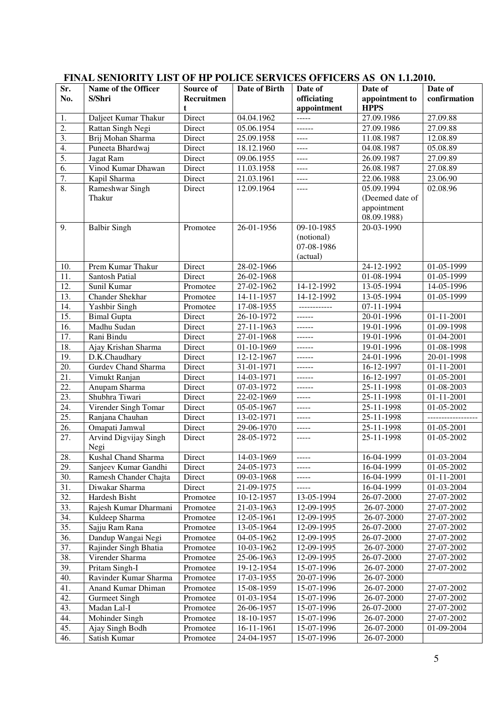| Sr.                    | Name of the Officer             | Source of  | Date of Birth | Date of       | Date of                  | Date of              |
|------------------------|---------------------------------|------------|---------------|---------------|--------------------------|----------------------|
| No.                    | S/Shri                          | Recruitmen |               | officiating   | appointment to           | confirmation         |
|                        |                                 | t          |               | appointment   | <b>HPPS</b>              |                      |
|                        | Daljeet Kumar Thakur            | Direct     | 04.04.1962    | $\frac{1}{2}$ | 27.09.1986               | 27.09.88             |
| 1.<br>$\overline{2}$ . | Rattan Singh Negi               | Direct     | 05.06.1954    | $-----$       | 27.09.1986               | 27.09.88             |
| $\overline{3}$ .       | Brij Mohan Sharma               | Direct     | 25.09.1958    | $\cdots$      |                          | 12.08.89             |
| 4.                     | Puneeta Bhardwaj                | Direct     |               |               | 11.08.1987<br>04.08.1987 |                      |
| 5.                     |                                 | Direct     | 18.12.1960    | $\cdots$      | 26.09.1987               | 05.08.89             |
| $\overline{6}$ .       | Jagat Ram<br>Vinod Kumar Dhawan | Direct     | 09.06.1955    | $\cdots$      |                          | 27.09.89<br>27.08.89 |
|                        |                                 |            | 11.03.1958    | $\frac{1}{2}$ | 26.08.1987               |                      |
| 7.<br>8.               | Kapil Sharma                    | Direct     | 21.03.1961    | $\frac{1}{2}$ | 22.06.1988               | 23.06.90             |
|                        | Rameshwar Singh<br>Thakur       | Direct     | 12.09.1964    | $\cdots$      | 05.09.1994               | 02.08.96             |
|                        |                                 |            |               |               | (Deemed date of          |                      |
|                        |                                 |            |               |               | appointment              |                      |
|                        |                                 |            |               | 09-10-1985    | 08.09.1988)              |                      |
| 9.                     | <b>Balbir Singh</b>             | Promotee   | 26-01-1956    |               | 20-03-1990               |                      |
|                        |                                 |            |               | (notional)    |                          |                      |
|                        |                                 |            |               | 07-08-1986    |                          |                      |
|                        |                                 |            |               | (actual)      |                          |                      |
| 10.                    | Prem Kumar Thakur               | Direct     | 28-02-1966    |               | $24 - 12 - 1992$         | 01-05-1999           |
| 11.                    | Santosh Patial                  | Direct     | 26-02-1968    |               | 01-08-1994               | 01-05-1999           |
| 12.                    | Sunil Kumar                     | Promotee   | 27-02-1962    | 14-12-1992    | 13-05-1994               | 14-05-1996           |
| 13.                    | Chander Shekhar                 | Promotee   | 14-11-1957    | 14-12-1992    | 13-05-1994               | 01-05-1999           |
| 14.                    | <b>Yashbir Singh</b>            | Promotee   | 17-08-1955    | ------------  | 07-11-1994               |                      |
| 15.                    | <b>Bimal Gupta</b>              | Direct     | 26-10-1972    | $- - - - - -$ | 20-01-1996               | 01-11-2001           |
| 16.                    | Madhu Sudan                     | Direct     | 27-11-1963    | $- - - - - -$ | 19-01-1996               | 01-09-1998           |
| 17.                    | Rani Bindu                      | Direct     | 27-01-1968    | $- - - - - -$ | 19-01-1996               | 01-04-2001           |
| 18.                    | Ajay Krishan Sharma             | Direct     | 01-10-1969    | $- - - - - -$ | 19-01-1996               | 01-08-1998           |
| 19.                    | D.K.Chaudhary                   | Direct     | 12-12-1967    | $- - - - - -$ | 24-01-1996               | 20-01-1998           |
| 20.                    | <b>Gurdev Chand Sharma</b>      | Direct     | 31-01-1971    | $- - - - - -$ | 16-12-1997               | $01 - 11 - 2001$     |
| 21.                    | Vimukt Ranjan                   | Direct     | 14-03-1971    | $- - - - - -$ | 16-12-1997               | 01-05-2001           |
| 22.                    | Anupam Sharma                   | Direct     | 07-03-1972    | $- - - - - -$ | 25-11-1998               | 01-08-2003           |
| 23.                    | Shubhra Tiwari                  | Direct     | 22-02-1969    | $\frac{1}{2}$ | 25-11-1998               | 01-11-2001           |
| 24.                    | Virender Singh Tomar            | Direct     | 05-05-1967    | $\cdots$      | 25-11-1998               | 01-05-2002           |
| $\overline{25}$ .      | Ranjana Chauhan                 | Direct     | 13-02-1971    | $\cdots$      | 25-11-1998               | -----------------    |
| 26.                    | Omapati Jamwal                  | Direct     | 29-06-1970    | $\cdots$      | 25-11-1998               | 01-05-2001           |
| 27.                    | Arvind Digvijay Singh           | Direct     | 28-05-1972    | $- - - - -$   | 25-11-1998               | 01-05-2002           |
|                        | Negi                            |            |               |               |                          |                      |
| 28.                    | Kushal Chand Sharma             | Direct     | 14-03-1969    |               | 16-04-1999               | 01-03-2004           |
| 29.                    | Sanjeev Kumar Gandhi            | Direct     | 24-05-1973    | $- - - - -$   | 16-04-1999               | 01-05-2002           |
| 30.                    | Ramesh Chander Chajta           | Direct     | 09-03-1968    | $- - - - -$   | 16-04-1999               | 01-11-2001           |
| 31.                    | Diwakar Sharma                  | Direct     | 21-09-1975    | $- - - - -$   | 16-04-1999               | 01-03-2004           |
| $\overline{32}$ .      | Hardesh Bisht                   | Promotee   | 10-12-1957    | 13-05-1994    | 26-07-2000               | 27-07-2002           |
| 33.                    | Rajesh Kumar Dharmani           | Promotee   | 21-03-1963    | 12-09-1995    | 26-07-2000               | 27-07-2002           |
| 34.                    | Kuldeep Sharma                  | Promotee   | 12-05-1961    | 12-09-1995    | 26-07-2000               | 27-07-2002           |
| $\overline{35}$ .      | Sajju Ram Rana                  | Promotee   | 13-05-1964    | 12-09-1995    | 26-07-2000               | 27-07-2002           |
| 36.                    | Dandup Wangai Negi              | Promotee   | 04-05-1962    | 12-09-1995    | 26-07-2000               | 27-07-2002           |
| 37.                    | Rajinder Singh Bhatia           | Promotee   | 10-03-1962    | 12-09-1995    | 26-07-2000               | 27-07-2002           |
| 38.                    | Virender Sharma                 | Promotee   | 25-06-1963    | 12-09-1995    | 26-07-2000               | 27-07-2002           |
| 39.                    | Pritam Singh-I                  | Promotee   | 19-12-1954    | 15-07-1996    | 26-07-2000               | 27-07-2002           |
| 40.                    | Ravinder Kumar Sharma           | Promotee   | 17-03-1955    | 20-07-1996    | 26-07-2000               |                      |
| 41.                    | Anand Kumar Dhiman              | Promotee   | 15-08-1959    | 15-07-1996    | 26-07-2000               | 27-07-2002           |
| 42.                    | <b>Gurmeet Singh</b>            | Promotee   | 01-03-1954    | 15-07-1996    | 26-07-2000               | 27-07-2002           |
| 43.                    | Madan Lal-I                     | Promotee   | 26-06-1957    | 15-07-1996    | 26-07-2000               | 27-07-2002           |
| 44.                    | Mohinder Singh                  | Promotee   | 18-10-1957    | 15-07-1996    | 26-07-2000               | 27-07-2002           |
| 45.                    | Ajay Singh Bodh                 | Promotee   | 16-11-1961    | 15-07-1996    | 26-07-2000               | 01-09-2004           |
| 46.                    | Satish Kumar                    | Promotee   | 24-04-1957    | 15-07-1996    | 26-07-2000               |                      |

## **FINAL SENIORITY LIST OF HP POLICE SERVICES OFFICERS AS ON 1.1.2010.**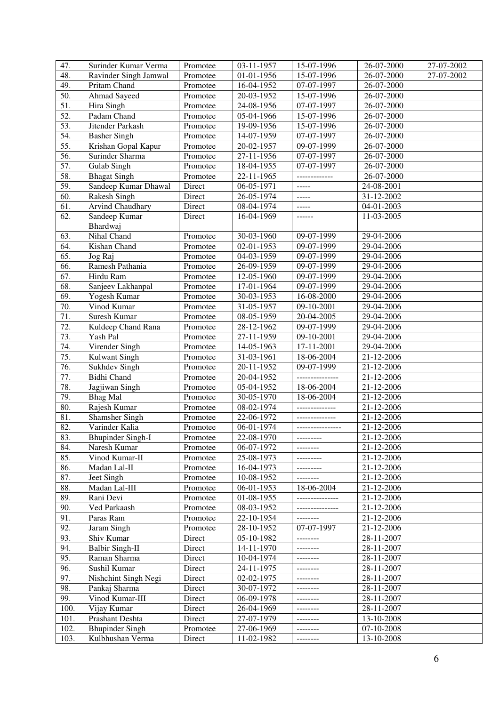| 47.               | Surinder Kumar Verma                | Promotee             | 03-11-1957               | 15-07-1996                    | 26-07-2000               | 27-07-2002 |
|-------------------|-------------------------------------|----------------------|--------------------------|-------------------------------|--------------------------|------------|
| 48.               | Ravinder Singh Jamwal               | Promotee             | $01-01-1956$             | 15-07-1996                    | 26-07-2000               | 27-07-2002 |
| 49.               | Pritam Chand                        | Promotee             | 16-04-1952               | 07-07-1997                    | 26-07-2000               |            |
| $\overline{50}$ . | <b>Ahmad Sayeed</b>                 | Promotee             | 20-03-1952               | 15-07-1996                    | 26-07-2000               |            |
| 51.               | Hira Singh                          | Promotee             | 24-08-1956               | 07-07-1997                    | 26-07-2000               |            |
| $\overline{52}$ . | Padam Chand                         | Promotee             | 05-04-1966               | 15-07-1996                    | 26-07-2000               |            |
| 53.               | Jitender Parkash                    | Promotee             | 19-09-1956               | 15-07-1996                    | 26-07-2000               |            |
| 54.               | <b>Basher Singh</b>                 | Promotee             | 14-07-1959               | 07-07-1997                    | 26-07-2000               |            |
| 55.               | Krishan Gopal Kapur                 | Promotee             | 20-02-1957               | 09-07-1999                    | 26-07-2000               |            |
| 56.               | Surinder Sharma                     | Promotee             | $27 - 11 - 1956$         | 07-07-1997                    | 26-07-2000               |            |
| 57.               | <b>Gulab Singh</b>                  | Promotee             | 18-04-1955               | 07-07-1997                    | 26-07-2000               |            |
| 58.               | <b>Bhagat Singh</b>                 | Promotee             | 22-11-1965               | -------------                 | 26-07-2000               |            |
| 59.               | Sandeep Kumar Dhawal                | Direct               | 06-05-1971               | -----                         | 24-08-2001               |            |
| $\overline{60}$ . | <b>Rakesh Singh</b>                 | Direct               | 26-05-1974               | -----                         | 31-12-2002               |            |
| 61.               | Arvind Chaudhary                    | Direct               | 08-04-1974               | $\frac{1}{2}$                 | 04-01-2003               |            |
| $\overline{62}$ . | Sandeep Kumar                       | Direct               | 16-04-1969               | $- - - - - -$                 | 11-03-2005               |            |
|                   | Bhardwaj                            |                      |                          |                               |                          |            |
| 63.               | Nihal Chand                         | Promotee             | 30-03-1960               | 09-07-1999                    | 29-04-2006               |            |
| 64.               | Kishan Chand                        | Promotee             | $02 - 01 - 1953$         | 09-07-1999                    | 29-04-2006               |            |
| 65.               | Jog Raj                             | Promotee             | $04-03-1959$             | 09-07-1999                    | 29-04-2006               |            |
| 66.               | Ramesh Pathania                     | Promotee             | 26-09-1959               | $09-07-1999$                  | 29-04-2006               |            |
| 67.               | Hirdu Ram                           | Promotee             | 12-05-1960               | 09-07-1999                    | 29-04-2006               |            |
| 68.               | Sanjeev Lakhanpal                   | Promotee             | 17-01-1964               | 09-07-1999                    | 29-04-2006               |            |
| $\overline{69}$ . | Yogesh Kumar                        | Promotee             | 30-03-1953               | 16-08-2000                    | 29-04-2006               |            |
| 70.               | Vinod Kumar                         | Promotee             | 31-05-1957               | 09-10-2001                    | 29-04-2006               |            |
| 71.               | Suresh Kumar                        | Promotee             | 08-05-1959               | 20-04-2005                    | 29-04-2006               |            |
| 72.               | Kuldeep Chand Rana                  | Promotee             | 28-12-1962               | 09-07-1999                    | 29-04-2006               |            |
| 73.               | Yash Pal                            | Promotee             | 27-11-1959               | 09-10-2001                    | 29-04-2006               |            |
| 74.               | Virender Singh                      | Promotee             | 14-05-1963               | 17-11-2001                    | 29-04-2006               |            |
| 75.               | Kulwant Singh                       | Promotee             | 31-03-1961               | 18-06-2004                    | 21-12-2006               |            |
| 76.<br>77.        | Sukhdev Singh<br><b>Bidhi</b> Chand | Promotee             | 20-11-1952<br>20-04-1952 | 09-07-1999<br>--------------- | 21-12-2006               |            |
| 78.               | Jagjiwan Singh                      | Promotee<br>Promotee | 05-04-1952               | 18-06-2004                    | 21-12-2006<br>21-12-2006 |            |
| 79.               | <b>Bhag Mal</b>                     | Promotee             | 30-05-1970               | 18-06-2004                    | 21-12-2006               |            |
| 80.               | Rajesh Kumar                        | Promotee             | 08-02-1974               | ______________                | 21-12-2006               |            |
| 81.               | <b>Shamsher Singh</b>               | Promotee             | 22-06-1972               | --------------                | 21-12-2006               |            |
| 82.               | Varinder Kalia                      | Promotee             | 06-01-1974               | ----------------              | 21-12-2006               |            |
| 83.               | <b>Bhupinder Singh-I</b>            | Promotee             | 22-08-1970               |                               | $21 - 12 - 2006$         |            |
| 84.               | Naresh Kumar                        | Promotee             | 06-07-1972               | --------                      | 21-12-2006               |            |
| 85.               | Vinod Kumar-II                      | Promotee             | 25-08-1973               | ---------                     | 21-12-2006               |            |
| 86.               | Madan Lal-II                        | Promotee             | 16-04-1973               | ---------                     | 21-12-2006               |            |
| 87.               | Jeet Singh                          | Promotee             | $\overline{10}$ -08-1952 | --------                      | 21-12-2006               |            |
| 88.               | Madan Lal-III                       | Promotee             | 06-01-1953               | 18-06-2004                    | 21-12-2006               |            |
| 89.               | Rani Devi                           | Promotee             | 01-08-1955               | ---------------               | 21-12-2006               |            |
| 90.               | Ved Parkaash                        | Promotee             | 08-03-1952               | ---------------               | 21-12-2006               |            |
| 91.               | Paras Ram                           | Promotee             | 22-10-1954               | --------                      | 21-12-2006               |            |
| 92.               | Jaram Singh                         | Promotee             | 28-10-1952               | 07-07-1997                    | 21-12-2006               |            |
| 93.               | Shiv Kumar                          | Direct               | 05-10-1982               | --------                      | 28-11-2007               |            |
| 94.               | <b>Balbir Singh-II</b>              | Direct               | 14-11-1970               | --------                      | 28-11-2007               |            |
| 95.               | Raman Sharma                        | Direct               | 10-04-1974               |                               | 28-11-2007               |            |
| 96.               | Sushil Kumar                        | Direct               | 24-11-1975               | --------                      | 28-11-2007               |            |
| 97.               | Nishchint Singh Negi                | Direct               | 02-02-1975               | --------                      | 28-11-2007               |            |
| 98.               | Pankaj Sharma                       | Direct               | 30-07-1972               | --------                      | 28-11-2007               |            |
| 99.               | Vinod Kumar-III                     | Direct               | 06-09-1978               | --------                      | 28-11-2007               |            |
| 100.              | Vijay Kumar                         | Direct               | 26-04-1969               | --------                      | 28-11-2007               |            |
| 101.              | Prashant Deshta                     | Direct               | 27-07-1979               |                               | 13-10-2008               |            |
| 102.              | <b>Bhupinder Singh</b>              | Promotee             | 27-06-1969               | --------                      | 07-10-2008               |            |
| 103.              | Kulbhushan Verma                    | Direct               | 11-02-1982               | --------                      | 13-10-2008               |            |